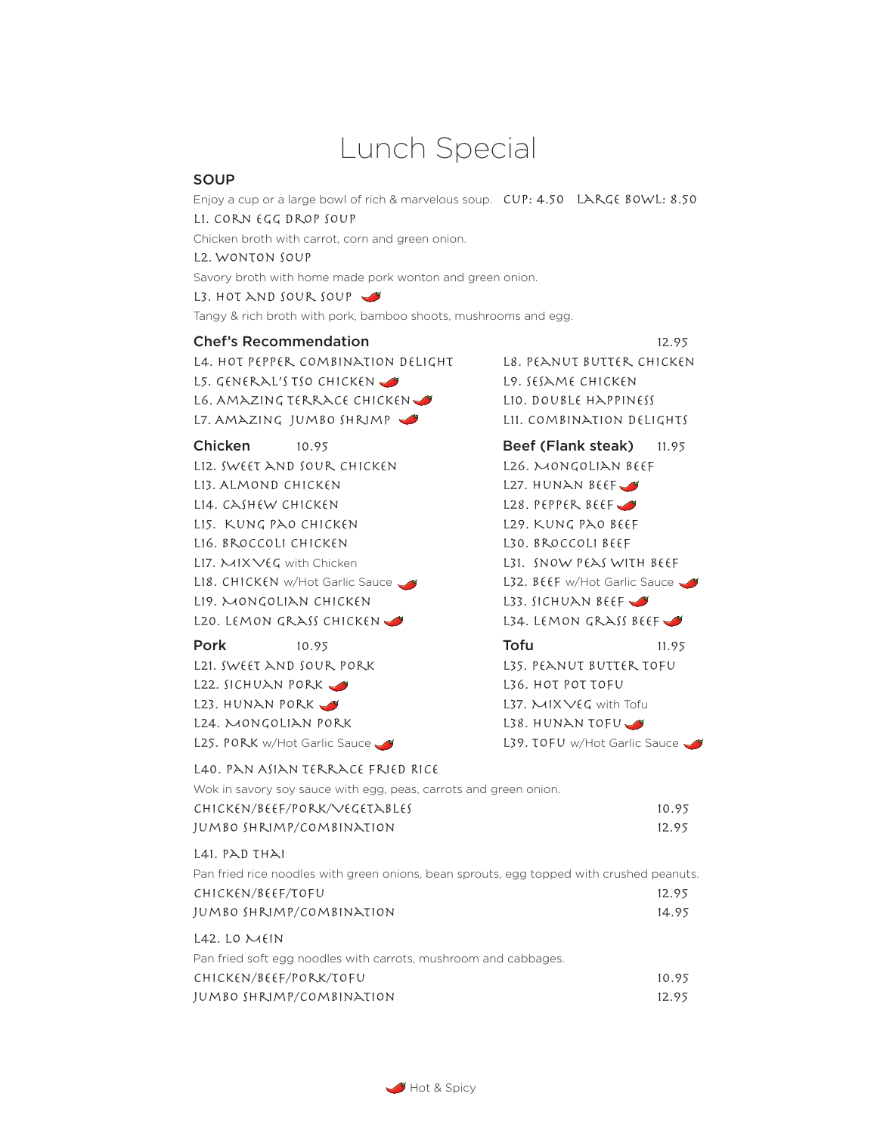# Lunch Special

#### **SOUP**

Enjoy a cup or a large bowl of rich & marvelous soup.  $CUP: 4.50$  LARGE BOWL: 8.50 L1. Corn Egg Drop Soup

Chicken broth with carrot, corn and green onion.

L2. Wonton Soup

Savory broth with home made pork wonton and green onion.

L3. HOT AND SOUR SOUP

Tangy & rich broth with pork, bamboo shoots, mushrooms and egg.

#### **Chef's Recommendation** 12.95

L4. Hot Pepper Combination Delight L8. Peanut Butter Chicken L5. GENERAL'S TSO CHICKEN L9. SESAME CHICKEN L6. AMAZING TERRACE CHICKEN LAND LIO. DOUBLE HAPPINESS

L12. SWEET AND SOUR CHICKEN L26. MONGOLIAN BEEF L13. ALMOND CHICKEN L27. HUNAN BEEF L14. CASHEW CHICKEN L28. PEPPER BEEF L15. Kung Pao Chicken L29. Kung Pao Beef L16. BROCCOLI CHICKEN L30. BROCCOLI BEEF L17. MIX VEG with Chicken L31. SNOW PEAS WITH BEEF L18. CHICKEN w/Hot Garlic Sauce L32. BEEF w/Hot Garlic Sauce L19. Mongolian Chicken L33. Sichuan Beef L20. LEMON GRASS CHICKEN USE L34. LEMON GRASS BEEF

L21. SWEET AND SOUR PORK L35. PEANUT BUTTER TOFU L22. SICHUAN PORK V L23. HUNAN PORK V L24. MONGOLIAN PORK L38. HUNAN TOFU

L7. Amazing Jumbo Shrimp L11. Combination Delights

**Chicken** 10.95 **Beef (Flank steak)** 11.95 **Pork** 10.95 **Tofu** 11.95

L25. PORK w/Hot Garlic Sauce V L39. TOFU w/Hot Garlic Sauce

#### L40. Pan Asian Terrace Fried Rice

| Wok in savory soy sauce with egg, peas, carrots and green onion. |       |
|------------------------------------------------------------------|-------|
| CHICKEN/BEEF/PORK/VEGETABLES                                     | 10.95 |
| JUMBO SHRIMP/COMBINATION                                         | 12.95 |

#### L41. PAD THAI

| Pan fried rice noodles with green onions, bean sprouts, egg topped with crushed peanuts. |       |
|------------------------------------------------------------------------------------------|-------|
| CHICKEN/BEEF/TOFU                                                                        | 12.95 |
| JUMBO SHRIMP/COMBINATION                                                                 | 14.95 |
| $L42.$ LO $MHN$                                                                          |       |
| Pan fried soft egg noodles with carrots, mushroom and cabbages.                          |       |
| CHICKEN/BEEF/PORK/TOFU                                                                   | 10.95 |
| JUMBO SHRIMP/COMBINATION                                                                 | 12.95 |

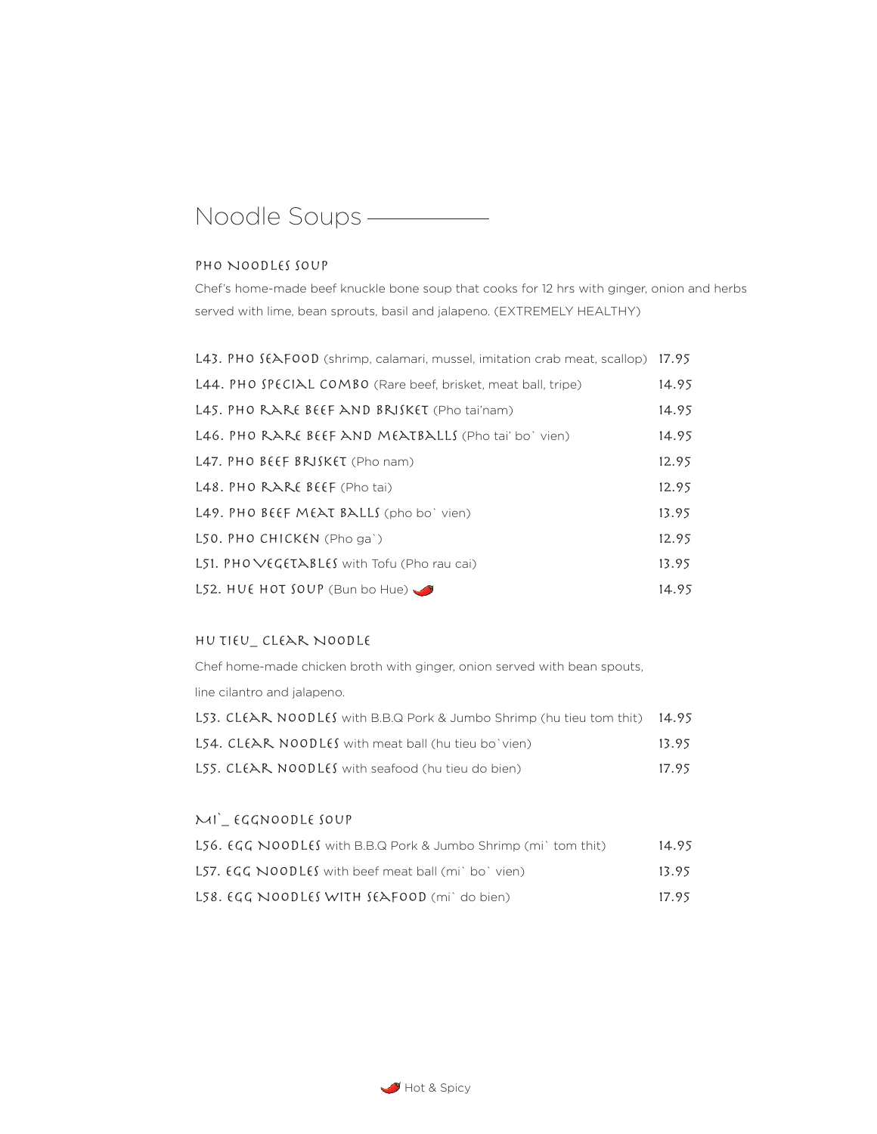# Noodle Soups

#### PHO NOODLES SOUP

Chef's home-made beef knuckle bone soup that cooks for 12 hrs with ginger, onion and herbs served with lime, bean sprouts, basil and jalapeno. (EXTREMELY HEALTHY)

| L43. PHO SEAFOOD (shrimp, calamari, mussel, imitation crab meat, scallop) 17.95 |       |
|---------------------------------------------------------------------------------|-------|
| L44. PHO SPECIAL COMBO (Rare beef, brisket, meat ball, tripe)                   | 14.95 |
| L45. PHO RARE BEEF AND BRISKET (Pho tai'nam)                                    | 14.95 |
| L46. PHO RARE BEEF AND MEATBALLS (Pho tai' bo' vien)                            | 14.95 |
| L47. PHO BEEF BRISKET (Pho nam)                                                 | 12.95 |
| $L48.$ PHO RARE BEEF (Pho tai)                                                  | 12.95 |
| L49. PHO BEEF MEAT BALLS (pho bo' vien)                                         | 13.95 |
| L50. PHO CHICKEN (Pho ga')                                                      | 12.95 |
| L51. $PHOVEGETABLES$ with Tofu (Pho rau cai)                                    | 13.95 |
| L52. HUE HOT SOUP (Bun bo Hue)                                                  | 14.95 |

### Hu Tieu\_ Clear Noodle

Chef home-made chicken broth with ginger, onion served with bean spouts, line cilantro and jalapeno. L53. CLEAR NOODLES with B.B.Q Pork & Jumbo Shrimp (hu tieu tom thit) 14.95

| <b>L54. CLEAR NOODLES</b> with meat ball (hu tieu bo`vien)                                        | 13.95 |
|---------------------------------------------------------------------------------------------------|-------|
| <b>L55. CL<math>\epsilon</math>AR, NOODL<math>\epsilon</math>S</b> with seafood (hu tieu do bien) | 17.95 |

## Mi`\_ Eggnoodle Soup

| $LS6. EGG NOODLES$ with B.B.Q Pork & Jumbo Shrimp (mi) tom thit)               | 14.95 |
|--------------------------------------------------------------------------------|-------|
| <b>L57. <math>\epsilon</math>GG NOODLES</b> with beef meat ball (mi) bo' vien) | 13.95 |
| $LS8.$ $EGG$ NOODLES WITH SEAFOOD (mi) do bien)                                | 17.95 |

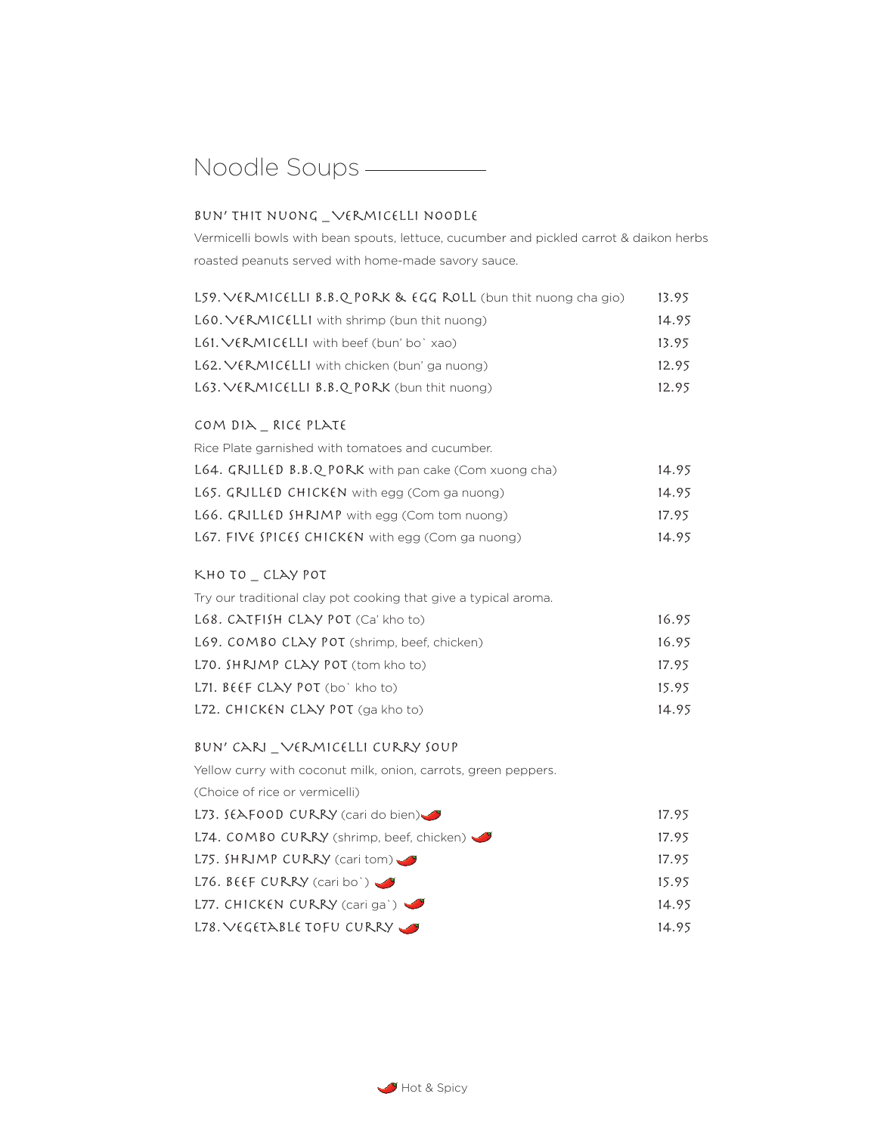# Noodle Soups - The Moodle Soups - The Moodle Soups - The Moodle Soup of The Moodle Soup of The Moodle Soup of The Moodle Soup of The Moodle Soup of The Moodle Soup of The Moodle Soup of The Moodle Soup of The Moodle Soup o

### Bun' thit nuong \_ Vermicelli noodle

Vermicelli bowls with bean spouts, lettuce, cucumber and pickled carrot & daikon herbs roasted peanuts served with home-made savory sauce.

| L59. VERMICELLI B.B.Q PORK & EGG ROLL (bun thit nuong cha gio) | 13.95 |
|----------------------------------------------------------------|-------|
| $L60. VERMICELL1$ with shrimp (bun thit nuong)                 | 14.95 |
| $L61. VERMICELLI$ with beef (bun' bo` xao)                     | 13.95 |
| L62. VERMICELLI with chicken (bun' ga nuong)                   | 12.95 |
| $L63. VERMICELLI B.B.Q PORK$ (bun thit nuong)                  | 12.95 |

### Com Dia \_ Rice Plate

| Rice Plate garnished with tomatoes and cucumber.      |       |
|-------------------------------------------------------|-------|
| L64. GRILLED B.B.Q PORK with pan cake (Com xuong cha) | 14.95 |
| L65. GRILLED CHICKEN with egg (Com ga nuong)          | 14.95 |
| L66. GRILLED SHRIMP with egg (Com tom nuong)          | 17.95 |
| L67. FIVE SPICES CHICKEN with egg (Com ga nuong)      | 14.95 |

### Kho to \_ Clay pot

Try our traditional clay pot cooking that give a typical aroma.

| $L68.$ CATFISH CLAY POT (Ca' kho to)        | 16.95 |
|---------------------------------------------|-------|
| L69. COMBO CLAY POT (shrimp, beef, chicken) | 16.95 |
| L70. SHRIMP CLAY POT (tom kho to)           | 17.95 |
| $L71.$ $BEF CLAY POT (bo)$ kho to)          | 15.95 |
| L72. CHICKEN CLAY POT (ga kho to)           | 14.95 |

### Bun' Cari \_ Vermicelli Curry Soup

| Yellow curry with coconut milk, onion, carrots, green peppers. |       |
|----------------------------------------------------------------|-------|
| (Choice of rice or vermicelli)                                 |       |
| L73. $f(\text{APOOD CURRY (cari do bien})$                     | 17.95 |
| L74. COMBO CURRY (shrimp, beef, chicken)                       | 17.95 |
| L75. $SHNMP$ CURRY (cari tom)                                  | 17.95 |
| L76. BEEF CURRY (cari bo')                                     | 15.95 |
| L77. CHICKEN CURRY (cari ga`)                                  | 14.95 |
| L78. VEGETABLE TOFU CURRY                                      | 14.95 |